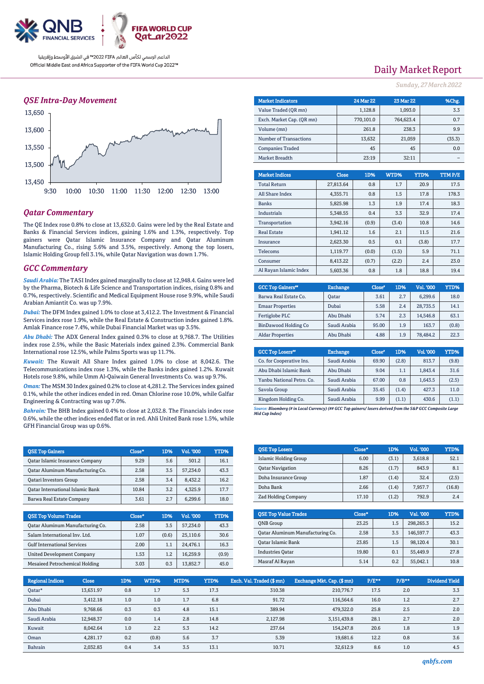

### *QSE Intra-Day Movement*



### *Qatar Commentary*

The QE Index rose 0.8% to close at 13,632.0. Gains were led by the Real Estate and Banks & Financial Services indices, gaining 1.6% and 1.3%, respectively. Top gainers were Qatar Islamic Insurance Company and Qatar Aluminum Manufacturing Co., rising 5.6% and 3.5%, respectively. Among the top losers, Islamic Holding Group fell 3.1%, while Qatar Navigation was down 1.7%.

#### *GCC Commentary*

*Saudi Arabia:* The TASI Index gained marginally to close at 12,948.4. Gains were led by the Pharma, Biotech & Life Science and Transportation indices, rising 0.8% and 0.7%, respectively. Scientific and Medical Equipment House rose 9.9%, while Saudi Arabian Amiantit Co. was up 7.9%.

*Dubai:* The DFM Index gained 1.0% to close at 3,412.2. The Investment & Financial Services index rose 1.9%, while the Real Estate & Construction index gained 1.8%. Amlak Finance rose 7.4%, while Dubai Financial Market was up 3.5%.

*Abu Dhabi:* The ADX General Index gained 0.3% to close at 9,768.7. The Utilities index rose 2.5%, while the Basic Materials index gained 2.3%. Commercial Bank International rose 12.5%, while Palms Sports was up 11.7%.

*Kuwait:* The Kuwait All Share Index gained 1.0% to close at 8,042.6. The Telecommunications index rose 1.3%, while the Banks index gained 1.2%. Kuwait Hotels rose 9.8%, while Umm Al-Qaiwain General Investments Co. was up 9.7%.

*Oman:* The MSM 30 Index gained 0.2% to close at 4,281.2. The Services index gained 0.1%, while the other indices ended in red. Oman Chlorine rose 10.0%, while Galfar Engineering & Contracting was up 7.0%.

*Bahrain:* The BHB Index gained 0.4% to close at 2,032.8. The Financials index rose 0.6%, while the other indices ended flat or in red. Ahli United Bank rose 1.5%, while GFH Financial Group was up 0.6%.

| <b>OSE Top Gainers</b>                 | Close* | 1D% | Vol. '000 | YTD% |
|----------------------------------------|--------|-----|-----------|------|
| <b>Qatar Islamic Insurance Company</b> | 9.29   | 5.6 | 501.2     | 16.1 |
| Oatar Aluminum Manufacturing Co.       | 2.58   | 3.5 | 57.234.0  | 43.3 |
| <b>Qatari Investors Group</b>          | 2.58   | 3.4 | 8.432.2   | 16.2 |
| Oatar International Islamic Bank       | 10.84  | 3.2 | 4.325.9   | 17.7 |
| Barwa Real Estate Company              | 3.61   | 2.7 | 6,299.6   | 18.0 |

| <b>QSE Top Volume Trades</b>       | Close* | 1D%   | Vol. '000 | YTD%  |
|------------------------------------|--------|-------|-----------|-------|
| Qatar Aluminum Manufacturing Co.   | 2.58   | 3.5   | 57.234.0  | 43.3  |
| Salam International Inv. Ltd.      | 1.07   | (0.6) | 25.110.6  | 30.6  |
| <b>Gulf International Services</b> | 2.00   | 1.1   | 24.476.1  | 16.3  |
| United Development Company         | 1.53   | 1.2   | 16.259.9  | (0.9) |
| Mesaieed Petrochemical Holding     | 3.03   | 0.3   | 13,852.7  | 45.0  |

# Daily Market Report

*Sunday, 27March2022*

| <b>Market Indicators</b>  |  |              | 24 Mar 22 | <b>23 Mar 22</b> |         | %Chg.   |
|---------------------------|--|--------------|-----------|------------------|---------|---------|
| Value Traded (QR mn)      |  |              | 1,128.8   |                  | 1,093.0 | 3.3     |
| Exch. Market Cap. (QR mn) |  |              | 770,101.0 | 764,623.4        |         | 0.7     |
| Volume (mn)               |  |              | 261.8     |                  | 238.3   | 9.9     |
| Number of Transactions    |  |              | 13,632    |                  | 21,059  | (35.3)  |
| <b>Companies Traded</b>   |  |              | 45        |                  | 45      | 0.0     |
| Market Breadth            |  |              | 23:19     |                  | 32:11   |         |
|                           |  |              |           |                  |         |         |
| <b>Market Indices</b>     |  | <b>Close</b> | 1D%       | WTD%             | YTD%    | TTM P/E |
| <b>Total Return</b>       |  | 27,813.64    | 0.8       | 1.7              | 20.9    | 17.5    |
| All Share Index           |  | 4.355.71     | 0.8       | 1.5              | 17.8    | 178.3   |
| <b>Banks</b>              |  | 5.825.98     | 1.3       | 1.9              | 17.4    | 18.3    |
| <b>Industrials</b>        |  | 5,348.55     | 0.4       | 3.3              | 32.9    | 17.4    |
| Transportation            |  | 3,942.16     | (0.9)     | (3.4)            | 10.8    | 14.6    |
| <b>Real Estate</b>        |  | 1,941.12     | 1.6       | 2.1              | 11.5    | 21.6    |
| Insurance                 |  | 2,623.30     | 0.5       | 0.1              | (3.8)   | 17.7    |
| Telecoms                  |  | 1,119.77     | (0.0)     | (1.5)            | 5.9     | 71.1    |
| Consumer                  |  | 8,413.22     | (0.7)     | (2.2)            | 2.4     | 23.0    |
| Al Rayan Islamic Index    |  | 5,603.36     | 0.8       | 1.8              | 18.8    | 19.4    |

| <b>GCC Top Gainers"</b> | <b>Exchange</b> | Close* | 1D% | Vol. '000 | YTD%  |
|-------------------------|-----------------|--------|-----|-----------|-------|
| Barwa Real Estate Co.   | <b>Oatar</b>    | 3.61   | 2.7 | 6.299.6   | 18.0  |
| <b>Emaar Properties</b> | Dubai           | 5.58   | 2.4 | 28.735.5  | 14.1  |
| Fertiglobe PLC          | Abu Dhabi       | 5.74   | 2.3 | 14.546.8  | 63.1  |
| BinDawood Holding Co    | Saudi Arabia    | 95.00  | 1.9 | 163.7     | (0.8) |
| <b>Aldar Properties</b> | Abu Dhabi       | 4.88   | 1.9 | 78.484.2  | 22.3  |

| <b>GCC Top Losers"</b>    | <b>Exchange</b> | Close <sup>®</sup> | 1D%   | <b>Vol.'000</b> | YTD%  |
|---------------------------|-----------------|--------------------|-------|-----------------|-------|
| Co. for Cooperative Ins.  | Saudi Arabia    | 69.90              | (2.8) | 813.7           | (9.8) |
| Abu Dhabi Islamic Bank    | Abu Dhabi       | 9.04               | 1.1   | 1,843.4         | 31.6  |
| Yanbu National Petro, Co. | Saudi Arabia    | 67.00              | 0.8   | 1.643.5         | (2.5) |
| Savola Group              | Saudi Arabia    | 35.45              | (1.4) | 427.3           | 11.0  |
| Kingdom Holding Co.       | Saudi Arabia    | 9.99               | (1.1) | 430.6           | (1.1) |

*Source: Bloomberg (# in Local Currency) (## GCC Top gainers/ losers derived from the S&P GCC Composite Large Mid Cap Index)*

| <b>QSE Top Losers</b>      | Close* | 1D%   | <b>Vol. '000</b> | YTD%   |
|----------------------------|--------|-------|------------------|--------|
| Islamic Holding Group      | 6.00   | (3.1) | 3.618.8          | 52.1   |
| <b>Qatar Navigation</b>    | 8.26   | (1.7) | 843.9            | 8.1    |
| Doha Insurance Group       | 1.87   | (1.4) | 32.4             | (2.5)  |
| Doha Bank                  | 2.66   | (1.4) | 7.957.7          | (16.8) |
| <b>Zad Holding Company</b> | 17.10  | (1.2) | 792.9            | 2.4    |

| <b>OSE Top Value Trades</b>      | Close* | 1D% | Val. '000 | YTD% |
|----------------------------------|--------|-----|-----------|------|
| <b>ONB</b> Group                 | 23.25  | 1.5 | 298.265.3 | 15.2 |
| Oatar Aluminum Manufacturing Co. | 2.58   | 3.5 | 146.597.7 | 43.3 |
| Qatar Islamic Bank               | 23.85  | 1.5 | 98,120.4  | 30.1 |
| <b>Industries Oatar</b>          | 19.80  | 0.1 | 55,449.9  | 27.8 |
| Masraf Al Rayan                  | 5.14   | 0.2 | 55,042.1  | 10.8 |

| Regional Indices | <b>Close</b> | 1D% | WTD%  | MTD% | YTD% | Exch. Val. Traded (\$mn) | Exchange Mkt. Cap. (\$ mn) | P/E** | $P/B**$ | Dividend Yield |
|------------------|--------------|-----|-------|------|------|--------------------------|----------------------------|-------|---------|----------------|
| Qatar*           | 13.631.97    | 0.8 | 1.7   | 5.3  | 17.3 | 310.38                   | 210.776.7                  | 17.5  | 2.0     | 3.3            |
| Dubai            | 3,412.18     | 1.0 | 1.0   | 1.7  | 6.8  | 91.72                    | 116.564.6                  | 16.0  | 1.2     | 2.7            |
| Abu Dhabi        | 9,768.66     | 0.3 | 0.3   | 4.8  | 15.1 | 389.94                   | 479.322.0                  | 25.8  | 2.5     | 2.0            |
| Saudi Arabia     | 12,948.37    | 0.0 | 1.4   | 2.8  | 14.8 | 2,127.98                 | 3,151,439.8                | 28.1  | 2.7     | 2.0            |
| Kuwait           | 8.042.64     | 1.0 | 2.2   | 5.3  | 14.2 | 237.64                   | 154.247.8                  | 20.6  | 1.8     | 1.9            |
| Oman             | 4.281.17     | 0.2 | (0.8) | 5.6  | 3.7  | 5.39                     | 19.681.6                   | 12.2  | 0.8     | 3.6            |
| Bahrain          | 2,032.83     | 0.4 | 3.4   | 3.5  | 13.1 | 10.71                    | 32,612.9                   | 8.6   | 1.0     | 4.5            |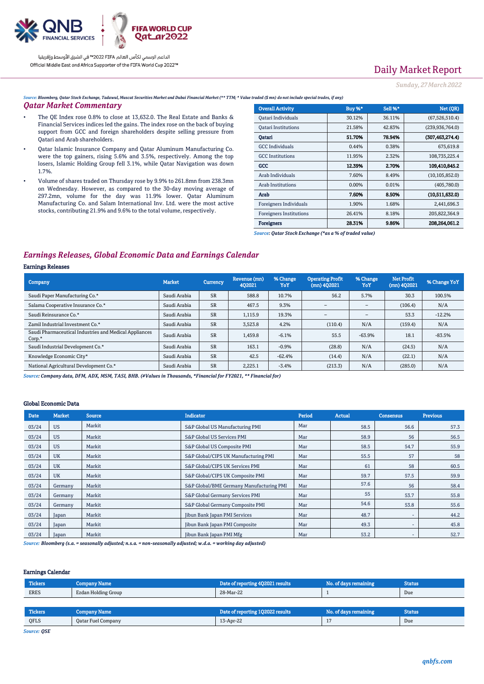

# Daily Market Report

*Sunday, 27March2022*

*Source: Bloomberg, Qatar Stock Exchange, Tadawul, Muscat Securities Market and Dubai Financial Market (\*\* TTM; \* Value traded (\$ mn) do not include special trades, if any)*

#### *Qatar Market Commentary*

- The QE Index rose 0.8% to close at 13,632.0. The Real Estate and Banks & Financial Services indices led the gains. The index rose on the back of buying support from GCC and foreign shareholders despite selling pressure from Qatari and Arab shareholders.
- Qatar Islamic Insurance Company and Qatar Aluminum Manufacturing Co. were the top gainers, rising 5.6% and 3.5%, respectively. Among the top losers, Islamic Holding Group fell 3.1%, while Qatar Navigation was down 1.7%.
- Volume of shares traded on Thursday rose by 9.9% to 261.8mn from 238.3mn on Wednesday. However, as compared to the 30-day moving average of 297.2mn, volume for the day was 11.9% lower. Qatar Aluminum Manufacturing Co. and Salam International Inv. Ltd. were the most active stocks, contributing 21.9% and 9.6% to the total volume, respectively.

| <b>Overall Activity</b>        | <b>Buy %*</b> | Sell %* | Net (QR)          |
|--------------------------------|---------------|---------|-------------------|
| <b>Oatari Individuals</b>      | 30.12%        | 36.11%  | (67,526,510.4)    |
| <b>Oatari Institutions</b>     | 21.58%        | 42.83%  | (239, 936, 764.0) |
| Oatari                         | 51.70%        | 78.94%  | (307, 463, 274.4) |
| <b>GCC</b> Individuals         | 0.44%         | 0.38%   | 675.619.8         |
| <b>GCC</b> Institutions        | 11.95%        | 2.32%   | 108,735,225.4     |
| GCC                            | 12.39%        | 2.70%   | 109.410.845.2     |
| Arab Individuals               | 7.60%         | 8.49%   | (10, 105, 852.0)  |
| <b>Arab Institutions</b>       | $0.00\%$      | 0.01%   | (405,780.0)       |
| Arab                           | 7.60%         | 8.50%   | (10,511,632.0)    |
| Foreigners Individuals         | 1.90%         | 1.68%   | 2,441,696.3       |
| <b>Foreigners Institutions</b> | 26.41%        | 8.18%   | 205,822,364.9     |
| <b>Foreigners</b>              | 28.31%        | 9.86%   | 208.264.061.2     |

*Source: Qatar Stock Exchange (\*as a % of traded value)*

### *Earnings Releases, Global Economic Data and Earnings Calendar*

#### Earnings Releases

| Company                                                            | <b>Market</b> | <b>Currency</b> | Revenue (mn)<br>402021 | % Change<br>YoY | <b>Operating Profit</b><br>$(mn)$ 402021 | % Change<br>YoY   | <b>Net Profit</b><br>(mn) 402021 | % Change YoY |
|--------------------------------------------------------------------|---------------|-----------------|------------------------|-----------------|------------------------------------------|-------------------|----------------------------------|--------------|
| Saudi Paper Manufacturing Co.*                                     | Saudi Arabia  | <b>SR</b>       | 588.8                  | 10.7%           | 56.2                                     | 5.7%              | 30.3                             | 100.5%       |
| Salama Cooperative Insurance Co.*                                  | Saudi Arabia  | <b>SR</b>       | 467.5                  | 9.3%            |                                          |                   | (106.4)                          | N/A          |
| Saudi Reinsurance Co.*                                             | Saudi Arabia  | <b>SR</b>       | 1,115.9                | 19.3%           | $\overline{\phantom{a}}$                 | $\qquad \qquad =$ | 53.3                             | $-12.2%$     |
| Zamil Industrial Investment Co.*                                   | Saudi Arabia  | <b>SR</b>       | 3,523.8                | 4.2%            | (110.4)                                  | N/A               | (159.4)                          | N/A          |
| Saudi Pharmaceutical Industries and Medical Appliances<br>$Corp.*$ | Saudi Arabia  | <b>SR</b>       | 1.459.8                | $-6.1%$         | 55.5                                     | $-63.9%$          | 18.1                             | $-83.5%$     |
| Saudi Industrial Development Co.*                                  | Saudi Arabia  | <b>SR</b>       | 163.1                  | $-0.9%$         | (28.8)                                   | N/A               | (24.5)                           | N/A          |
| Knowledge Economic City*                                           | Saudi Arabia  | <b>SR</b>       | 42.5                   | $-62.4%$        | (14.4)                                   | N/A               | (22.1)                           | N/A          |
| National Agricultural Development Co.*                             | Saudi Arabia  | SR              | 2,225.1                | $-3.4%$         | (213.3)                                  | N/A               | (285.0)                          | N/A          |

*Source: Company data, DFM, ADX, MSM, TASI, BHB. (#Values in Thousands, \*Financial for FY2021, \*\* Financial for)*

#### Global Economic Data

| <b>Date</b> | <b>Market</b> | Source | Indicator                                | Period | <b>Actual</b> | <b>Consensus</b>         | <b>Previous</b> |
|-------------|---------------|--------|------------------------------------------|--------|---------------|--------------------------|-----------------|
| 03/24       | <b>US</b>     | Markit | S&P Global US Manufacturing PMI          | Mar    | 58.5          | 56.6                     | 57.3            |
| 03/24       | <b>US</b>     | Markit | <b>S&amp;P Global US Services PMI</b>    | Mar    | 58.9          | 56                       | 56.5            |
| 03/24       | <b>US</b>     | Markit | S&P Global US Composite PMI              | Mar    | 58.5          | 54.7                     | 55.9            |
| 03/24       | <b>UK</b>     | Markit | S&P Global/CIPS UK Manufacturing PMI     | Mar    | 55.5          | 57                       | 58              |
| 03/24       | <b>UK</b>     | Markit | S&P Global/CIPS UK Services PMI          | Mar    | 61            | 58                       | 60.5            |
| 03/24       | <b>UK</b>     | Markit | S&P Global/CIPS UK Composite PMI         | Mar    | 59.7          | 57.5                     | 59.9            |
| 03/24       | Germany       | Markit | S&P Global/BME Germany Manufacturing PMI | Mar    | 57.6          | 56                       | 58.4            |
| 03/24       | Germany       | Markit | S&P Global Germany Services PMI          | Mar    | 55            | 53.7                     | 55.8            |
| 03/24       | Germany       | Markit | S&P Global Germany Composite PMI         | Mar    | 54.6          | 53.8                     | 55.6            |
| 03/24       | Japan         | Markit | Jibun Bank Japan PMI Services            | Mar    | 48.7          | $\overline{\phantom{a}}$ | 44.2            |
| 03/24       | Japan         | Markit | <b>Jibun Bank Japan PMI Composite</b>    | Mar    | 49.3          | $\overline{\phantom{a}}$ | 45.8            |
| 03/24       | Japan         | Markit | Jibun Bank Japan PMI Mfg                 | Mar    | 53.2          | $\overline{\phantom{a}}$ | 52.7            |

*Source: Bloomberg (s.a. = seasonally adjusted; n.s.a. = non-seasonally adjusted; w.d.a. = working day adjusted)*

#### Earnings Calendar

| <b>Tickers</b> | <b>Company Name</b> | Date of reporting 4Q2021 results | No. of days remaining | <b>Status</b> |
|----------------|---------------------|----------------------------------|-----------------------|---------------|
| <b>ERES</b>    | Ezdan Holding Group | 28-Mar-22                        |                       | Due           |
|                |                     |                                  |                       |               |
| <b>Tickers</b> | <b>Company Name</b> | Date of reporting 1Q2022 results | No. of days remaining | <b>Status</b> |
| <b>OFLS</b>    | Oatar Fuel Company  | 13-Apr-22                        | 17                    | Due           |

*Source: QSE*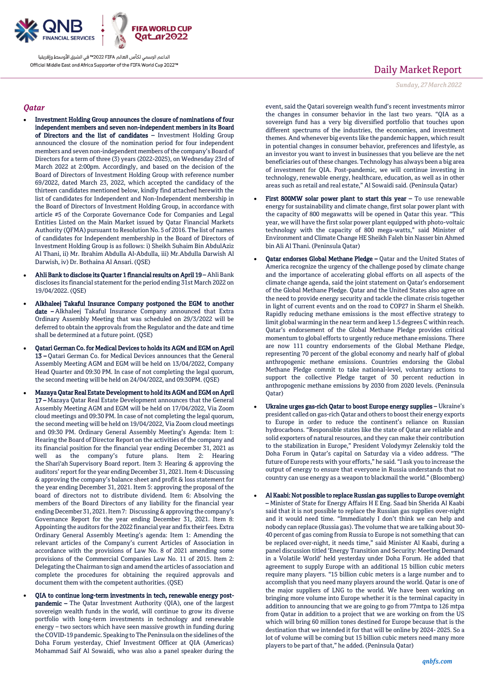

### *Qatar*

- Investment Holding Group announces the closure of nominations of four independent members and seven non-independent members in its Board of Directors and the list of candidates – Investment Holding Group announced the closure of the nomination period for four independent members and seven non-independent members of the company's Board of Directors for a term of three (3) years (2022-2025), on Wednesday 23rd of March 2022 at 2:00pm. Accordingly, and based on the decision of the Board of Directors of Investment Holding Group with reference number 69/2022, dated March 23, 2022, which accepted the candidacy of the thirteen candidates mentioned below, kindly find attached herewith the list of candidates for Independent and Non-Independent membership in the Board of Directors of Investment Holding Group, in accordance with article #5 of the Corporate Governance Code for Companies and Legal Entities Listed on the Main Market issued by Qatar Financial Markets Authority (QFMA) pursuant to Resolution No. 5 of 2016. The list of names of candidates for Independent membership in the Board of Directors of Investment Holding Group is as follows: i) Sheikh Suhaim Bin AbdulAziz Al Thani, ii) Mr. Ibrahim Abdulla Al-Abdulla, iii) Mr.Abdulla Darwish Al Darwish, iv) Dr. Bothaina Al Ansari. (QSE)
- Ahli Bank to disclose its Quarter 1 financial results on April 19 Ahli Bank discloses its financial statement for the period ending 31st March 2022 on 19/04/2022. (QSE)
- Alkhaleej Takaful Insurance Company postponed the EGM to another date - Alkhaleej Takaful Insurance Company announced that Extra Ordinary Assembly Meeting that was scheduled on 29/3/2022 will be deferred to obtain the approvals from the Regulator and the date and time shall be determined at a future point. (QSE)
- Qatari German Co. for Medical Devices to holds its AGM and EGM on April 13 – Qatari German Co. for Medical Devices announces that the General Assembly Meeting AGM and EGM will be held on 13/04/2022, Company Head Quarter and 09:30 PM. In case of not completing the legal quorum, the second meeting will be held on 24/04/2022, and 09:30PM. (QSE)
- Mazaya Qatar Real Estate Development to hold its AGM and EGM on April 17 – Mazaya Qatar Real Estate Development announces that the General Assembly Meeting AGM and EGM will be held on 17/04/2022, Via Zoom cloud meetings and 09:30 PM. In case of not completing the legal quorum, the second meeting will be held on 19/04/2022, Via Zoom cloud meetings and 09:30 PM. Ordinary General Assembly Meeting's Agenda: Item 1: Hearing the Board of Director Report on the activities of the company and its financial position for the financial year ending December 31, 2021 as well as the company's future plans. Item 2: Hearing the Shari'ah Supervisory Board report. Item 3: Hearing & approving the auditors' report for the year ending December 31, 2021. Item 4: Discussing & approving the company's balance sheet and profit & loss statement for the year ending December 31, 2021. Item 5: approving the proposal of the board of directors not to distribute dividend. Item 6: Absolving the members of the Board Directors of any liability for the financial year ending December 31, 2021. Item 7: Discussing & approving the company's Governance Report for the year ending December 31, 2021. Item 8: Appointing the auditors for the 2022 financial year and fix their fees. Extra Ordinary General Assembly Meeting's agenda: Item 1: Amending the relevant articles of the Company's current Articles of Association in accordance with the provisions of Law No. 8 of 2021 amending some provisions of the Commercial Companies Law No. 11 of 2015. Item 2: Delegating the Chairman to sign and amend the articles of association and complete the procedures for obtaining the required approvals and document them with the competent authorities. (QSE)
- QIA to continue long-term investments in tech, renewable energy postpandemic – The Qatar Investment Authority (QIA), one of the largest sovereign wealth funds in the world, will continue to grow its diverse portfolio with long-term investments in technology and renewable energy – two sectors which have seen massive growth in funding during the COVID-19 pandemic. Speaking to The Peninsula on the sidelines of the Doha Forum yesterday, Chief Investment Officer at QIA (Americas) Mohammad Saif Al Sowaidi, who was also a panel speaker during the

# Daily Market Report

*Sunday, 27March2022*

event, said the Qatari sovereign wealth fund's recent investments mirror the changes in consumer behavior in the last two years. "QIA as a sovereign fund has a very big diversified portfolio that touches upon different spectrums of the industries, the economies, and investment themes. And whenever big events like the pandemic happen, which result in potential changes in consumer behavior, preferences and lifestyle, as an investor you want to invest in businesses that you believe are the net beneficiaries out of these changes. Technology has always been a big area of investment for QIA. Post-pandemic, we will continue investing in technology, renewable energy, healthcare, education, as well as in other areas such as retail and real estate," Al Sowaidi said. (Peninsula Qatar)

- First 800MW solar power plant to start this year To use renewable energy for sustainability and climate change, first solar power plant with the capacity of 800 megawatts will be opened in Qatar this year. "This year, we will have the first solar power plant equipped with photo-voltaic technology with the capacity of 800 mega-watts," said Minister of Environment and Climate Change HE Sheikh Faleh bin Nasser bin Ahmed bin Ali Al Thani. (Peninsula Qatar)
- Qatar endorses Global Methane Pledge Qatar and the United States of America recognize the urgency of the challenge posed by climate change and the importance of accelerating global efforts on all aspects of the climate change agenda, said the joint statement on Qatar's endorsement of the Global Methane Pledge. Qatar and the United States also agree on the need to provide energy security and tackle the climate crisis together in light of current events and on the road to COP27 in Sharm el Sheikh. Rapidly reducing methane emissions is the most effective strategy to limit global warming in the near term and keep 1.5 degrees C within reach. Qatar's endorsement of the Global Methane Pledge provides critical momentum to global efforts to urgently reduce methane emissions. There are now 111 country endorsements of the Global Methane Pledge, representing 70 percent of the global economy and nearly half of global anthropogenic methane emissions. Countries endorsing the Global Methane Pledge commit to take national-level, voluntary actions to support the collective Pledge target of 30 percent reduction in anthropogenic methane emissions by 2030 from 2020 levels. (Peninsula Qatar)
- Ukraine urges gas-rich Qatar to boost Europe energy supplies Ukraine's president called on gas-rich Qatar and others to boost their energy exports to Europe in order to reduce the continent's reliance on Russian hydrocarbons. "Responsible states like the state of Qatar are reliable and solid exporters of natural resources, and they can make their contribution to the stabilization in Europe," President Volodymyr Zelenskiy told the Doha Forum in Qatar's capital on Saturday via a video address. "The future of Europe rests with your efforts," he said. "I ask you to increase the output of energy to ensure that everyone in Russia understands that no country can use energy as a weapon to blackmail the world." (Bloomberg)
- Al Kaabi: Not possible to replace Russian gas supplies to Europe overnight – Minister of State for Energy Affairs H E Eng. Saad bin Sherida Al Kaabi said that it is not possible to replace the Russian gas supplies over-night and it would need time. "Immediately I don't think we can help and nobody can replace (Russia gas). The volume that we are talking about 30- 40 percent of gas coming from Russia to Europe is not something that can be replaced over-night, it needs time," said Minister Al Kaabi, during a panel discussion titled 'Energy Transition and Security: Meeting Demand in a Volatile World' held yesterday under Doha Forum. He added that agreement to supply Europe with an additional 15 billion cubic meters require many players. "15 billion cubic meters is a large number and to accomplish that you need many players around the world. Qatar is one of the major suppliers of LNG to the world. We have been working on bringing more volume into Europe whether it is the terminal capacity in addition to announcing that we are going to go from 77mtpa to 126 mtpa from Qatar in addition to a project that we are working on from the US which will bring 60 million tones destined for Europe because that is the destination that we intended it for that will be online by 2024- 2025. So a lot of volume will be coming but 15 billion cubic meters need many more players to be part of that," he added. (Peninsula Qatar)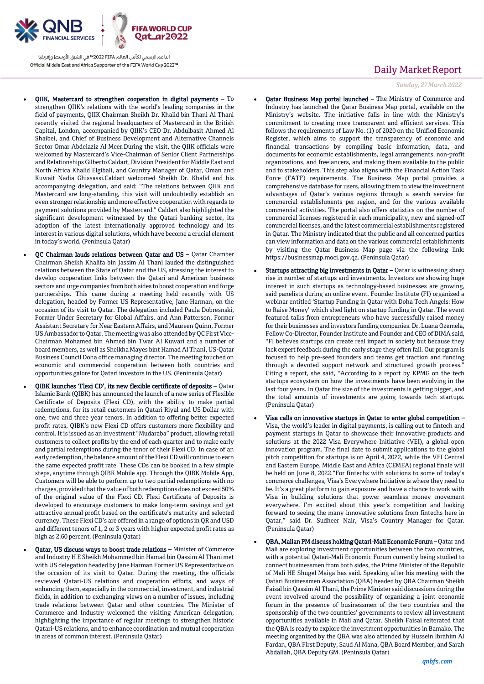

- QIIK, Mastercard to strengthen cooperation in digital payments To strengthen QIIK's relations with the world's leading companies in the field of payments, QIIK Chairman Sheikh Dr. Khalid bin Thani Al Thani recently visited the regional headquarters of Mastercard in the British Capital, London, accompanied by QIIK's CEO Dr. Abdulbasit Ahmed Al Shaibei, and Chief of Business Development and Alternative Channels Sector Omar Abdelaziz Al Meer.During the visit, the QIIK officials were welcomed by Mastercard's Vice-Chairman of Senior Client Partnerships and Relationships Gilberto Caldart, Division President for Middle East and North Africa Khalid Elgibali, and Country Manager of Qatar, Oman and Kuwait Nadia Ghissassi.Caldart welcomed Sheikh Dr. Khalid and his accompanying delegation, and said: "The relations between QIIK and Mastercard are long-standing, this visit will undoubtedly establish an even stronger relationship and more effective cooperation with regards to payment solutions provided by Mastercard." Caldart also highlighted the significant development witnessed by the Qatari banking sector, its adoption of the latest internationally approved technology and its interest in various digital solutions, which have become a crucial element in today's world. (Peninsula Qatar)
- QC Chairman lauds relations between Qatar and US Qatar Chamber Chairman Sheikh Khalifa bin Jassim Al Thani lauded the distinguished relations between the State of Qatar and the US, stressing the interest to develop cooperation links between the Qatari and American business sectors and urge companies from both sides to boost cooperation and forge partnerships. This came during a meeting held recently with US delegation, headed by Former US Representative, Jane Harman, on the occasion of its visit to Qatar. The delegation included Paula Dobresnski, Former Under Secretary for Global Affairs, and Ann Patterson, Former Assistant Secretary for Near Eastern Affairs, and Maureen Quinn, Former US Ambassador to Qatar. The meeting was also attended by QC First Vice-Chairman Mohamed bin Ahmed bin Twar Al Kuwari and a number of board members, as well as Sheikha Mayes bint Hamad Al Thani, US-Qatar Business Council Doha office managing director. The meeting touched on economic and commercial cooperation between both countries and opportunities galore for Qatari investors in the US. (Peninsula Qatar)
- QIBK launches 'Flexi CD', its new flexible certificate of deposits Qatar Islamic Bank (QIBK) has announced the launch of a new series of Flexible Certificate of Deposits (Flexi CD), with the ability to make partial redemptions, for its retail customers in Qatari Riyal and US Dollar with one, two and three year tenors. In addition to offering better expected profit rates, QIBK's new Flexi CD offers customers more flexibility and control. It is issued as an investment "Mudaraba" product, allowing retail customers to collect profits by the end of each quarter and to make early and partial redemptions during the tenor of their Flexi CD. In case of an early redemption, the balance amount of the Flexi CD will continue to earn the same expected profit rate. These CDs can be booked in a few simple steps, anytime through QIBK Mobile app. Through the QIBK Mobile App, Customers will be able to perform up to two partial redemptions with no charges, provided that the value of both redemptions does not exceed 50% of the original value of the Flexi CD. Flexi Certificate of Deposits is developed to encourage customers to make long-term savings and get attractive annual profit based on the certificate's maturity and selected currency. These Flexi CD's are offered in a range of options in QR and USD and different tenors of 1, 2 or 3 years with higher expected profit rates as high as 2.60 percent. (Peninsula Qatar)
- Qatar, US discuss ways to boost trade relations Minister of Commerce and Industry H E Sheikh Mohammed bin Hamad bin Qassim Al Thani met with US delegation headed by Jane Harman Former US Representative on the occasion of its visit to Qatar. During the meeting, the officials reviewed Qatari-US relations and cooperation efforts, and ways of enhancing them, especially in the commercial, investment, and industrial fields, in addition to exchanging views on a number of issues, including trade relations between Qatar and other countries. The Minister of Commerce and Industry welcomed the visiting American delegation, highlighting the importance of regular meetings to strengthen historic Qatari-US relations, and to enhance coordination and mutual cooperation in areas of common interest. (Peninsula Qatar)

## Daily Market Report

#### *Sunday, 27March2022*

- Qatar Business Map portal launched The Ministry of Commerce and Industry has launched the Qatar Business Map portal, available on the Ministry's website. The initiative falls in line with the Ministry's commitment to creating more transparent and efficient services. This follows the requirements of Law No. (1) of 2020 on the Unified Economic Register, which aims to support the transparency of economic and financial transactions by compiling basic information, data, and documents for economic establishments, legal arrangements, non-profit organizations, and freelancers, and making them available to the public and to stakeholders. This step also aligns with the Financial Action Task Force (FATF) requirements. The Business Map portal provides a comprehensive database for users, allowing them to view the investment advantages of Qatar's various regions through a search service for commercial establishments per region, and for the various available commercial activities. The portal also offers statistics on the number of commercial licenses registered in each municipality, new and signed-off commercial licenses, and the latest commercial establishments registered in Qatar. The Ministry indicated that the public and all concerned parties can view information and data on the various commercial establishments by visiting the Qatar Business Map page via the following link: https://businessmap.moci.gov.qa. (Peninsula Qatar)
- Startups attracting big investments in Qatar Qatar is witnessing sharp rise in number of startups and investments. Investors are showing huge interest in such startups as technology-based businesses are growing, said panelists during an online event. Founder Institute (FI) organized a webinar entitled 'Startup Funding in Qatar with Doha Tech Angels: How to Raise Money' which shed light on startup funding in Qatar. The event featured talks from entrepreneurs who have successfully raised money for their businesses and investors funding companies. Dr. Luana Ozemela, Fellow Co-Director, Founder Institute and Founder and CEO of DIMA said, "FI believes startups can create real impact in society but because they lack expert feedback during the early stage they often fail. Our program is focused to help pre-seed founders and teams get traction and funding through a devoted support network and structured growth process.' Citing a report, she said, "According to a report by KPMG on the tech startups ecosystem on how the investments have been evolving in the last four years. In Qatar the size of the investments is getting bigger, and the total amounts of investments are going towards tech startups. (Peninsula Qatar)
- Visa calls on innovative startups in Qatar to enter global competition Visa, the world's leader in digital payments, is calling out to fintech and payment startups in Qatar to showcase their innovative products and solutions at the 2022 Visa Everywhere Initiative (VEI), a global open innovation program. The final date to submit applications to the global pitch competition for startups is on April 4, 2022, while the VEI Central and Eastern Europe, Middle East and Africa (CEMEA) regional finale will be held on June 8, 2022."For fintechs with solutions to some of today's commerce challenges, Visa's Everywhere Initiative is where they need to be. It's a great platform to gain exposure and have a chance to work with Visa in building solutions that power seamless money movement everywhere. I'm excited about this year's competition and looking forward to seeing the many innovative solutions from fintechs here in Qatar," said Dr. Sudheer Nair, Visa's Country Manager for Qatar. (Peninsula Qatar)
- QBA, Malian PM discuss holding Qatari-Mali Economic Forum Qatar and Mali are exploring investment opportunities between the two countries, with a potential Qatari-Mali Economic Forum currently being studied to connect businessmen from both sides, the Prime Minister of the Republic of Mali HE Shugel Maiga has said. Speaking after his meeting with the Qatari Businessmen Association (QBA) headed by QBA Chairman Sheikh Faisal bin Qassim Al Thani, the Prime Minister said discussions during the event revolved around the possibility of organizing a joint economic forum in the presence of businessmen of the two countries and the sponsorship of the two countries' governments to review all investment opportunities available in Mali and Qatar. Sheikh Faisal reiterated that the QBA is ready to explore the investment opportunities in Bamako. The meeting organized by the QBA was also attended by Hussein Ibrahim Al Fardan, QBA First Deputy, Saud Al Mana, QBA Board Member, and Sarah Abdallah, QBA Deputy GM. (Peninsula Qatar)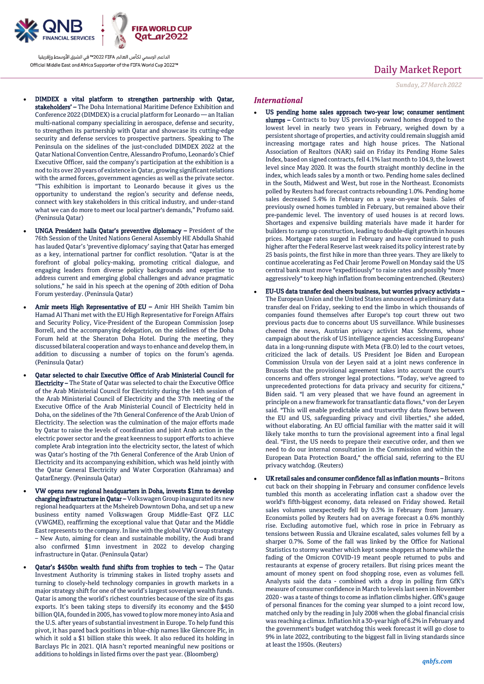

- DIMDEX a vital platform to strengthen partnership with Qatar, stakeholders' – The Doha International Maritime Defence Exhibition and Conference 2022 (DIMDEX) is a crucial platform for Leonardo — an Italian multi-national company specializing in aerospace, defense and security, to strengthen its partnership with Qatar and showcase its cutting-edge security and defense services to prospective partners. Speaking to The Peninsula on the sidelines of the just-concluded DIMDEX 2022 at the Qatar National Convention Centre, Alessandro Profumo, Leonardo's Chief Executive Officer, said the company's participation at the exhibition is a nod to its over 20 years of existence in Qatar, growing significant relations with the armed forces, government agencies as well as the private sector. "This exhibition is important to Leonardo because it gives us the opportunity to understand the region's security and defense needs, connect with key stakeholders in this critical industry, and under-stand what we can do more to meet our local partner's demands," Profumo said. (Peninsula Qatar)
- UNGA President hails Qatar's preventive diplomacy President of the 76th Session of the United Nations General Assembly HE Abdulla Shahid has lauded Qatar's 'preventive diplomacy' saying that Qatar has emerged as a key, international partner for conflict resolution. "Qatar is at the forefront of global policy-making, promoting critical dialogue, and engaging leaders from diverse policy backgrounds and expertise to address current and emerging global challenges and advance pragmatic solutions," he said in his speech at the opening of 20th edition of Doha Forum yesterday. (Peninsula Qatar)
- Amir meets High Representative of EU Amir HH Sheikh Tamim bin Hamad Al Thani met with the EU High Representative for Foreign Affairs and Security Policy, Vice-President of the European Commission Josep Borrell, and the accompanying delegation, on the sidelines of the Doha Forum held at the Sheraton Doha Hotel. During the meeting, they discussed bilateral cooperation and ways to enhance and develop them, in addition to discussing a number of topics on the forum's agenda. (Peninsula Qatar)
- Qatar selected to chair Executive Office of Arab Ministerial Council for Electricity – The State of Qatar was selected to chair the Executive Office of the Arab Ministerial Council for Electricity during the 14th session of the Arab Ministerial Council of Electricity and the 37th meeting of the Executive Office of the Arab Ministerial Council of Electricity held in Doha, on the sidelines of the 7th General Conference of the Arab Union of Electricity. The selection was the culmination of the major efforts made by Qatar to raise the levels of coordination and joint Arab action in the electric power sector and the great keenness to support efforts to achieve complete Arab integration into the electricity sector, the latest of which was Qatar's hosting of the 7th General Conference of the Arab Union of Electricity and its accompanying exhibition, which was held jointly with the Qatar General Electricity and Water Corporation (Kahramaa) and QatarEnergy. (Peninsula Qatar)
- VW opens new regional headquarters in Doha, invests \$1mn to develop charging infrastructure in Qatar - Volkswagen Group inaugurated its new regional headquarters at the Msheireb Downtown Doha, and set up a new business entity named Volkswagen Group Middle-East QFZ LLC (VWGME), reaffirming the exceptional value that Qatar and the Middle East represents to the company. In line with the global VW Group strategy – New Auto, aiming for clean and sustainable mobility, the Audi brand also confirmed \$1mn investment in 2022 to develop charging infrastructure in Qatar. (Peninsula Qatar)
- Qatar's \$450bn wealth fund shifts from trophies to tech The Qatar Investment Authority is trimming stakes in listed trophy assets and turning to closely-held technology companies in growth markets in a major strategy shift for one of the world's largest sovereign wealth funds. Qatar is among the world's richest countries because of the size of its gas exports. It's been taking steps to diversify its economy and the \$450 billion QIA, founded in 2005, has vowed to plow more money into Asia and the U.S. after years of substantial investment in Europe. To help fund this pivot, it has pared back positions in blue-chip names like Glencore Plc, in which it sold a \$1 billion stake this week. It also reduced its holding in Barclays Plc in 2021. QIA hasn't reported meaningful new positions or additions to holdings in listed firms over the past year. (Bloomberg)

## Daily Market Report

*Sunday, 27March2022*

#### *International*

- US pending home sales approach two-year low; consumer sentiment slumps - Contracts to buy US previously owned homes dropped to the lowest level in nearly two years in February, weighed down by a persistent shortage of properties, and activity could remain sluggish amid increasing mortgage rates and high house prices. The National Association of Realtors (NAR) said on Friday its Pending Home Sales Index, based on signed contracts, fell 4.1% last month to 104.9, the lowest level since May 2020. It was the fourth straight monthly decline in the index, which leads sales by a month or two. Pending home sales declined in the South, Midwest and West, but rose in the Northeast. Economists polled by Reuters had forecast contracts rebounding 1.0%. Pending home sales decreased 5.4% in February on a year-on-year basis. Sales of previously owned homes tumbled in February, but remained above their pre-pandemic level. The inventory of used houses is at record lows. Shortages and expensive building materials have made it harder for builders to ramp up construction, leading to double-digit growth in houses prices. Mortgage rates surged in February and have continued to push higher after the Federal Reserve last week raised its policy interest rate by 25 basis points, the first hike in more than three years. They are likely to continue accelerating as Fed Chair Jerome Powell on Monday said the US central bank must move "expeditiously" to raise rates and possibly "more aggressively" to keep high inflation from becoming entrenched. (Reuters)
- EU-US data transfer deal cheers business, but worries privacy activists The European Union and the United States announced a preliminary data transfer deal on Friday, seeking to end the limbo in which thousands of companies found themselves after Europe's top court threw out two previous pacts due to concerns about US surveillance. While businesses cheered the news, Austrian privacy activist Max Schrems, whose campaign about the risk of US intelligence agencies accessing Europeans' data in a long-running dispute with Meta (FB.O) led to the court vetoes, criticized the lack of details. US President Joe Biden and European Commission Ursula von der Leyen said at a joint news conference in Brussels that the provisional agreement takes into account the court's concerns and offers stronger legal protections. "Today, we've agreed to unprecedented protections for data privacy and security for citizens," Biden said. "I am very pleased that we have found an agreement in principle on a new framework for transatlantic data flows," von der Leyen said. "This will enable predictable and trustworthy data flows between the EU and US, safeguarding privacy and civil liberties," she added, without elaborating. An EU official familiar with the matter said it will likely take months to turn the provisional agreement into a final legal deal. "First, the US needs to prepare their executive order, and then we need to do our internal consultation in the Commission and within the European Data Protection Board," the official said, referring to the EU privacy watchdog. (Reuters)
- UK retail sales and consumer confidence fall as inflation mounts Britons cut back on their shopping in February and consumer confidence levels tumbled this month as accelerating inflation cast a shadow over the world's fifth-biggest economy, data released on Friday showed. Retail sales volumes unexpectedly fell by 0.3% in February from January. Economists polled by Reuters had on average forecast a 0.6% monthly rise. Excluding automotive fuel, which rose in price in February as tensions between Russia and Ukraine escalated, sales volumes fell by a sharper 0.7%. Some of the fall was linked by the Office for National Statistics to stormy weather which kept some shoppers at home while the fading of the Omicron COVID-19 meant people returned to pubs and restaurants at expense of grocery retailers. But rising prices meant the amount of money spent on food shopping rose, even as volumes fell. Analysts said the data - combined with a drop in polling firm GfK's measure of consumer confidence in March to levels last seen in November 2020 - was a taste of things to come as inflation climbs higher. GfK's gauge of personal finances for the coming year slumped to a joint record low, matched only by the reading in July 2008 when the global financial crisis was reaching a climax. Inflation hit a 30-year high of 6.2% in February and the government's budget watchdog this week forecast it will go close to 9% in late 2022, contributing to the biggest fall in living standards since at least the 1950s. (Reuters)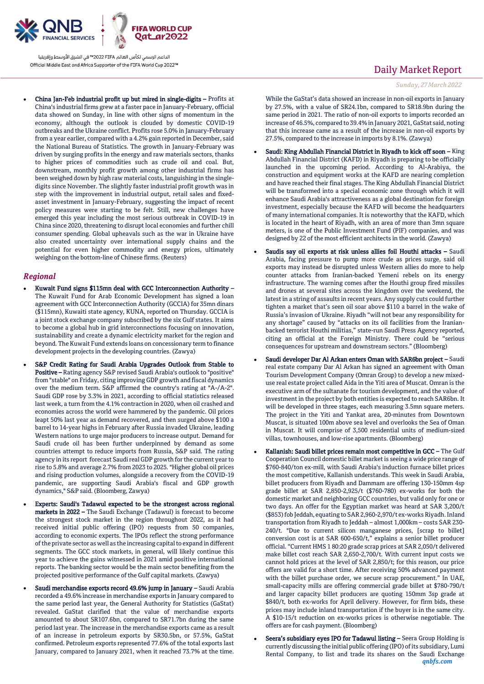

 China Jan-Feb industrial profit up but mired in single-digits – Profits at China's industrial firms grew at a faster pace in January-February, official data showed on Sunday, in line with other signs of momentum in the economy, although the outlook is clouded by domestic COVID-19 outbreaks and the Ukraine conflict. Profits rose 5.0% in January-February from a year earlier, compared with a 4.2% gain reported in December, said the National Bureau of Statistics. The growth in January-February was driven by surging profits in the energy and raw materials sectors, thanks to higher prices of commodities such as crude oil and coal. But, downstream, monthly profit growth among other industrial firms has been weighed down by high raw material costs, languishing in the singledigits since November. The slightly faster industrial profit growth was in step with the improvement in industrial output, retail sales and fixedasset investment in January-February, suggesting the impact of recent policy measures were starting to be felt. Still, new challenges have emerged this year including the most serious outbreak in COVID-19 in China since 2020, threatening to disrupt local economies and further chill consumer spending. Global upheavals such as the war in Ukraine have also created uncertainty over international supply chains and the potential for even higher commodity and energy prices, ultimately weighing on the bottom-line of Chinese firms. (Reuters)

#### *Regional*

- Kuwait Fund signs \$115mn deal with GCC Interconnection Authority The Kuwait Fund for Arab Economic Development has signed a loan agreement with GCC Interconnection Authority (GCCIA) for 35mn dinars (\$115mn), Kuwaiti state agency, KUNA, reported on Thursday. GCCIA is a joint stock exchange company subscribed by the six Gulf states. It aims to become a global hub in grid interconnections focusing on innovation, sustainability and create a dynamic electricity market for the region and beyond. The Kuwait Fund extends loans on concessionary term to finance development projects in the developing countries. (Zawya)
- S&P Credit Rating for Saudi Arabia Upgrades Outlook from Stable to Positive – Rating agency S&P revised Saudi Arabia's outlook to "positive" from "stable" on Friday, citing improving GDP growth and fiscal dynamics over the medium term. S&P affirmed the country's rating at "A-/A-2". Saudi GDP rose by 3.3% in 2021, according to official statistics released last week, a turn from the 4.1% contraction in 2020, when oil crashed and economies across the world were hammered by the pandemic. Oil prices leapt 50% last year as demand recovered, and then surged above \$100 a barrel to 14-year highs in February after Russia invaded Ukraine, leading Western nations to urge major producers to increase output. Demand for Saudi crude oil has been further underpinned by demand as some countries attempt to reduce imports from Russia, S&P said. The rating agency in its report forecast Saudi real GDP growth for the current year to rise to 5.8% and average 2.7% from 2023 to 2025. "Higher global oil prices and rising production volumes, alongside a recovery from the COVID-19 pandemic, are supporting Saudi Arabia's fiscal and GDP growth dynamics," S&P said. (Bloomberg, Zawya)
- Experts: Saudi's Tadawul expected to be the strongest across regional markets in 2022 – The Saudi Exchange (Tadawul) is forecast to become the strongest stock market in the region throughout 2022, as it had received initial public offering (IPO) requests from 50 companies, according to economic experts. The IPOs reflect the strong performance of the private sector as well as the increasing capital to expand in different segments. The GCC stock markets, in general, will likely continue this year to achieve the gains witnessed in 2021 amid positive international reports. The banking sector would be the main sector benefiting from the projected positive performance of the Gulf capital markets. (Zawya)
- Saudi merchandise exports record 49.6% jump in January Saudi Arabia recorded a 49.6% increase in merchandise exports in January compared to the same period last year, the General Authority for Statistics (GaStat) revealed. GaStat clarified that the value of merchandise exports amounted to about SR107.6bn, compared to SR71.7bn during the same period last year. The increase in the merchandise exports came as a result of an increase in petroleum exports by SR30.5bn, or 57.5%, GaStat confirmed. Petroleum exports represented 77.6% of the total exports last January, compared to January 2021, when it reached 73.7% at the time.

## Daily Market Report

*Sunday, 27March2022*

While the GaStat's data showed an increase in non-oil exports in January by 27.5%, with a value of SR24.1bn, compared to SR18.9bn during the same period in 2021. The ratio of non-oil exports to imports recorded an increase of 46.5%, compared to 39.4% in January 2021, GaStat said, noting that this increase came as a result of the increase in non-oil exports by 27.5%, compared to the increase in imports by 8.1%. (Zawya)

- Saudi: King Abdullah Financial District in Riyadh to kick off soon King Abdullah Financial District (KAFD) in Riyadh is preparing to be officially launched in the upcoming period. According to Al-Arabiya, the construction and equipment works at the KAFD are nearing completion and have reached their final stages. The King Abdullah Financial District will be transformed into a special economic zone through which it will enhance Saudi Arabia's attractiveness as a global destination for foreign investment, especially because the KAFD will become the headquarters of many international companies. It is noteworthy that the KAFD, which is located in the heart of Riyadh, with an area of more than 3mn square meters, is one of the Public Investment Fund (PIF) companies, and was designed by 22 of the most efficient architects in the world. (Zawya)
- Saudis say oil exports at risk unless allies foil Houthi attacks Saudi Arabia, facing pressure to pump more crude as prices surge, said oil exports may instead be disrupted unless Western allies do more to help counter attacks from Iranian-backed Yemeni rebels on its energy infrastructure. The warning comes after the Houthi group fired missiles and drones at several sites across the kingdom over the weekend, the latest in a string of assaults in recent years. Any supply cuts could further tighten a market that's seen oil soar above \$110 a barrel in the wake of Russia's invasion of Ukraine. Riyadh "will not bear any responsibility for any shortage" caused by "attacks on its oil facilities from the Iranianbacked terrorist Houthi militias," state-run Saudi Press Agency reported, citing an official at the Foreign Ministry. There could be "serious consequences for upstream and downstream sectors." (Bloomberg)
- Saudi developer Dar Al Arkan enters Oman with SAR6bn project Saudi real estate company Dar Al Arkan has signed an agreement with Oman Tourism Development Company (Omran Group) to develop a new mixeduse real estate project called Aida in the Yiti area of Muscat. Omran is the executive arm of the sultanate for tourism development, and the value of investment in the project by both entities is expected to reach SAR6bn. It will be developed in three stages, each measuring 3.5mn square meters. The project in the Yiti and Yankat area, 20-minutes from Downtown Muscat, is situated 100m above sea level and overlooks the Sea of Oman in Muscat. It will comprise of 3,500 residential units of medium-sized villas, townhouses, and low-rise apartments. (Bloomberg)
- Kallanish: Saudi billet prices remain most competitive in GCC The Gulf Cooperation Council domestic billet market is seeing a wide price range of \$760-840/ton ex-mill, with Saudi Arabia's induction furnace billet prices the most competitive, Kallanish understands. This week in Saudi Arabia, billet producers from Riyadh and Dammam are offering 130-150mm 4sp grade billet at SAR 2,850-2,925/t (\$760-780) ex-works for both the domestic market and neighboring GCC countries, but valid only for one or two days. An offer for the Egyptian market was heard at SAR 3,200/t (\$853) fob Jeddah, equating to SAR 2,960-2,970/t ex-works Riyadh. Inland transportation from Riyadh to Jeddah – almost 1,000km – costs SAR 230- 240/t. "Due to current silicon manganese prices, [scrap to billet] conversion cost is at SAR 600-650/t," explains a senior billet producer official. "Current HMS 1 80:20 grade scrap prices at SAR 2,050/t delivered make billet cost reach SAR 2,650-2,700/t. With current input costs we cannot hold prices at the level of SAR 2,850/t; for this reason, our price offers are valid for a short time. After receiving 50% advanced payment with the billet purchase order, we secure scrap procurement." In UAE, small-capacity mills are offering commercial grade billet at \$780-790/t and larger capacity billet producers are quoting 150mm 3sp grade at \$840/t, both ex-works for April delivery. However, for firm bids, these prices may include inland transportation if the buyer is in the same city. A \$10-15/t reduction on ex-works prices is otherwise negotiable. The offers are for cash payment. (Bloomberg)
- *qnbfs.com* Seera's subsidiary eyes IPO for Tadawul listing – Seera Group Holding is currently discussing the initial public offering (IPO) of its subsidiary, Lumi Rental Company, to list and trade its shares on the Saudi Exchange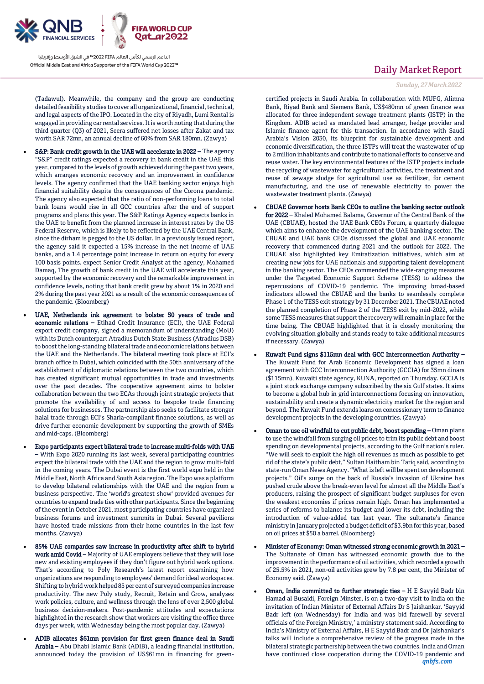

(Tadawul). Meanwhile, the company and the group are conducting detailed feasibility studies to cover all organizational, financial, technical, and legal aspects of the IPO. Located in the city of Riyadh, Lumi Rental is engaged in providing car rental services. It is worth noting that during the third quarter (Q3) of 2021, Seera suffered net losses after Zakat and tax worth SAR 72mn, an annual decline of 60% from SAR 180mn. (Zawya)

- S&P: Bank credit growth in the UAE will accelerate in 2022 The agency "S&P" credit ratings expected a recovery in bank credit in the UAE this year, compared to the levels of growth achieved during the past two years, which arranges economic recovery and an improvement in confidence levels. The agency confirmed that the UAE banking sector enjoys high financial suitability despite the consequences of the Corona pandemic. The agency also expected that the ratio of non-performing loans to total bank loans would rise in all GCC countries after the end of support programs and plans this year. The S&P Ratings Agency expects banks in the UAE to benefit from the planned increase in interest rates by the US Federal Reserve, which is likely to be reflected by the UAE Central Bank, since the dirham is pegged to the US dollar. In a previously issued report, the agency said it expected a 15% increase in the net income of UAE banks, and a 1.4 percentage point increase in return on equity for every 100 basis points. expect Senior Credit Analyst at the agency, Mohamed Damaq, The growth of bank credit in the UAE will accelerate this year, supported by the economic recovery and the remarkable improvement in confidence levels, noting that bank credit grew by about 1% in 2020 and 2% during the past year 2021 as a result of the economic consequences of the pandemic. (Bloomberg)
- UAE, Netherlands ink agreement to bolster 50 years of trade and economic relations – Etihad Credit Insurance (ECI), the UAE Federal export credit company, signed a memorandum of understanding (MoU) with its Dutch counterpart Atradius Dutch State Business (Atradius DSB) to boost the long-standing bilateral trade and economic relations between the UAE and the Netherlands. The bilateral meeting took place at ECI's branch office in Dubai, which coincided with the 50th anniversary of the establishment of diplomatic relations between the two countries, which has created significant mutual opportunities in trade and investments over the past decades. The cooperative agreement aims to bolster collaboration between the two ECAs through joint strategic projects that promote the availability of and access to bespoke trade financing solutions for businesses. The partnership also seeks to facilitate stronger halal trade through ECI's Sharia-compliant finance solutions, as well as drive further economic development by supporting the growth of SMEs and mid-caps. (Bloomberg)
- Expo participants expect bilateral trade to increase multi-folds with UAE – With Expo 2020 running its last week, several participating countries expect the bilateral trade with the UAE and the region to grow multi-fold in the coming years. The Dubai event is the first world expo held in the Middle East, North Africa and South Asia region. The Expo was a platform to develop bilateral relationships with the UAE and the region from a business perspective. The 'world's greatest show' provided avenues for countries to expand trade ties with other participants. Since the beginning of the event in October 2021, most participating countries have organized business forums and investment summits in Dubai. Several pavilions have hosted trade missions from their home countries in the last few months. (Zawya)
- 85% UAE companies saw increase in productivity after shift to hybrid work amid Covid – Majority of UAE employers believe that they will lose new and existing employees if they don't figure out hybrid work options. That's according to Poly Research's latest report examining how organizations are responding to employees' demand for ideal workspaces. Shifting to hybrid work helped 85 per cent of surveyed companies increase productivity. The new Poly study, Recruit, Retain and Grow, analyses work policies, culture, and wellness through the lens of over 2,500 global business decision-makers. Post-pandemic attitudes and expectations highlighted in the research show that workers are visiting the office three days per week, with Wednesday being the most popular day. (Zawya)
- ADIB allocates \$61mn provision for first green finance deal in Saudi Arabia – Abu Dhabi Islamic Bank (ADIB), a leading financial institution, announced today the provision of US\$61mn in financing for green-

## Daily Market Report

#### *Sunday, 27March2022*

certified projects in Saudi Arabia. In collaboration with MUFG, Alimna Bank, Riyad Bank and Siemens Bank, US\$480mn of green finance was allocated for three independent sewage treatment plants (ISTP) in the Kingdom. ADIB acted as mandated lead arranger, hedge provider and Islamic finance agent for this transaction. In accordance with Saudi Arabia's Vision 2030, its blueprint for sustainable development and economic diversification, the three ISTPs will treat the wastewater of up to 2 million inhabitants and contribute to national efforts to conserve and reuse water. The key environmental features of the ISTP projects include the recycling of wastewater for agricultural activities, the treatment and reuse of sewage sludge for agricultural use as fertilizer, for cement manufacturing, and the use of renewable electricity to power the wastewater treatment plants. (Zawya)

- CBUAE Governor hosts Bank CEOs to outline the banking sector outlook for 2022 – Khaled Mohamed Balama, Governor of the Central Bank of the UAE (CBUAE), hosted the UAE Bank CEOs Forum, a quarterly dialogue which aims to enhance the development of the UAE banking sector. The CBUAE and UAE bank CEOs discussed the global and UAE economic recovery that commenced during 2021 and the outlook for 2022. The CBUAE also highlighted key Emiratization initiatives, which aim at creating new jobs for UAE nationals and supporting talent development in the banking sector. The CEOs commended the wide-ranging measures under the Targeted Economic Support Scheme (TESS) to address the repercussions of COVID-19 pandemic. The improving broad-based indicators allowed the CBUAE and the banks to seamlessly complete Phase 1 of the TESS exit strategy by 31 December 2021. The CBUAE noted the planned completion of Phase 2 of the TESS exit by mid-2022, while some TESS measures that support the recovery will remain in place for the time being. The CBUAE highlighted that it is closely monitoring the evolving situation globally and stands ready to take additional measures if necessary. (Zawya)
- Kuwait Fund signs \$115mn deal with GCC Interconnection Authority The Kuwait Fund for Arab Economic Development has signed a loan agreement with GCC Interconnection Authority (GCCIA) for 35mn dinars (\$115mn), Kuwaiti state agency, KUNA, reported on Thursday. GCCIA is a joint stock exchange company subscribed by the six Gulf states. It aims to become a global hub in grid interconnections focusing on innovation, sustainability and create a dynamic electricity market for the region and beyond. The Kuwait Fund extends loans on concessionary term to finance development projects in the developing countries. (Zawya)
- Oman to use oil windfall to cut public debt, boost spending Oman plans to use the windfall from surging oil prices to trim its public debt and boost spending on developmental projects, according to the Gulf nation's ruler. "We will seek to exploit the high oil revenues as much as possible to get rid of the state's public debt," Sultan Haitham bin Tariq said, according to state-run Oman News Agency. "What is left will be spent on development projects." Oil's surge on the back of Russia's invasion of Ukraine has pushed crude above the break-even level for almost all the Middle East's producers, raising the prospect of significant budget surpluses for even the weakest economies if prices remain high. Oman has implemented a series of reforms to balance its budget and lower its debt, including the introduction of value-added tax last year. The sultanate's finance ministry in January projected a budget deficit of \$3.9bn for this year, based on oil prices at \$50 a barrel. (Bloomberg)
- Minister of Economy: Oman witnessed strong economic growth in 2021 The Sultanate of Oman has witnessed economic growth due to the improvement in the performance of oil activities, which recorded a growth of 25.5% in 2021, non-oil activities grew by 7.8 per cent, the Minister of Economy said. (Zawya)
- *qnbfs.com* Oman, India committed to further strategic ties – H E Sayyid Badr bin Hamad al Busaidi, Foreign Minster, is on a two-day visit to India on the invitation of Indian Minister of External Affairs Dr S Jaishankar. 'Sayyid Badr left (on Wednesday) for India and was bid farewell by several officials of the Foreign Ministry,' a ministry statement said. According to India's Ministry of External Affairs, H E Sayyid Badr and Dr Jaishankar's talks will include a comprehensive review of the progress made in the bilateral strategic partnership between the two countries. India and Oman have continued close cooperation during the COVID-19 pandemic and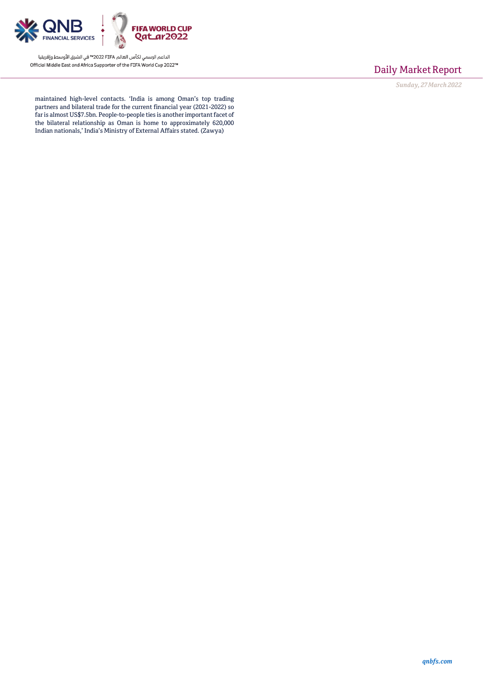

# Daily Market Report

*Sunday, 27March2022*

maintained high-level contacts. 'India is among Oman's top trading partners and bilateral trade for the current financial year (2021-2022) so far is almost US\$7.5bn. People-to-people ties is another important facet of the bilateral relationship as Oman is home to approximately 620,000 Indian nationals,' India's Ministry of External Affairs stated. (Zawya)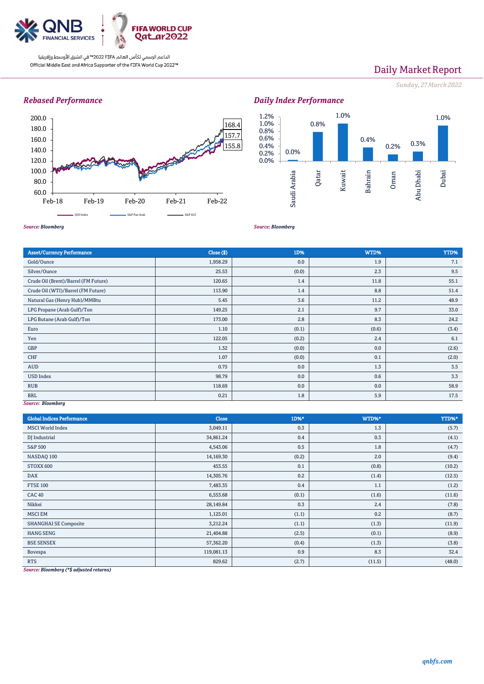

# Daily Market Report

*Sunday, 27March2022*

### *Rebased Performance*







*Source: Bloomberg*

*Source: Bloomberg*

| <b>Asset/Currency Performance</b>         | Close ( \$) | 1D%   | WTD%  | YTD%  |
|-------------------------------------------|-------------|-------|-------|-------|
| Gold/Ounce                                | 1,958.29    | 0.0   | 1.9   | 7.1   |
| Silver/Ounce                              | 25.53       | (0.0) | 2.3   | 9.5   |
| Crude Oil (Brent)/Barrel (FM Future)      | 120.65      | 1.4   | 11.8  | 55.1  |
| Crude Oil (WTI)/Barrel (FM Future)        | 113.90      | 1.4   | 8.8   | 51.4  |
| Natural Gas (Henry Hub)/MMBtu             | 5.45        | 3.6   | 11.2  | 48.9  |
| LPG Propane (Arab Gulf)/Ton               | 149.25      | 2.1   | 9.7   | 33.0  |
| LPG Butane (Arab Gulf)/Ton                | 173.00      | 2.8   | 8.3   | 24.2  |
| Euro                                      | 1.10        | (0.1) | (0.6) | (3.4) |
| Yen                                       | 122.05      | (0.2) | 2.4   | 6.1   |
| GBP                                       | 1.32        | (0.0) | 0.0   | (2.6) |
| CHF                                       | 1.07        | (0.0) | 0.1   | (2.0) |
| <b>AUD</b>                                | 0.75        | 0.0   | 1.3   | 3.5   |
| <b>USD Index</b>                          | 98.79       | 0.0   | 0.6   | 3.3   |
| <b>RUB</b>                                | 118.69      | 0.0   | 0.0   | 58.9  |
| <b>BRL</b><br>$\sim$ $\sim$ $\sim$ $\sim$ | 0.21        | 1.8   | 5.9   | 17.5  |

*Source: Bloomberg*

| <b>Global Indices Performance</b> | Close      | 1D%*  | WTD%*  | YTD%*  |
|-----------------------------------|------------|-------|--------|--------|
| <b>MSCI</b> World Index           | 3,049.11   | 0.3   | 1.3    | (5.7)  |
| DJ Industrial                     | 34,861.24  | 0.4   | 0.3    | (4.1)  |
| S&P 500                           | 4,543.06   | 0.5   | 1.8    | (4.7)  |
| NASDAQ 100                        | 14,169.30  | (0.2) | 2.0    | (9.4)  |
| STOXX 600                         | 453.55     | 0.1   | (0.8)  | (10.2) |
| <b>DAX</b>                        | 14,305.76  | 0.2   | (1.4)  | (12.5) |
| <b>FTSE 100</b>                   | 7,483.35   | 0.4   | 1.1    | (1.2)  |
| <b>CAC 40</b>                     | 6,553.68   | (0.1) | (1.6)  | (11.6) |
| Nikkei                            | 28,149.84  | 0.3   | 2.4    | (7.8)  |
| <b>MSCI EM</b>                    | 1,125.01   | (1.1) | 0.2    | (8.7)  |
| <b>SHANGHAI SE Composite</b>      | 3,212.24   | (1.1) | (1.3)  | (11.9) |
| <b>HANG SENG</b>                  | 21,404.88  | (2.5) | (0.1)  | (8.9)  |
| <b>BSE SENSEX</b>                 | 57,362.20  | (0.4) | (1.3)  | (3.8)  |
| Bovespa                           | 119,081.13 | 0.9   | 8.3    | 32.4   |
| <b>RTS</b>                        | 829.62     | (2.7) | (11.5) | (48.0) |

*Source: Bloomberg (\*\$ adjusted returns)*